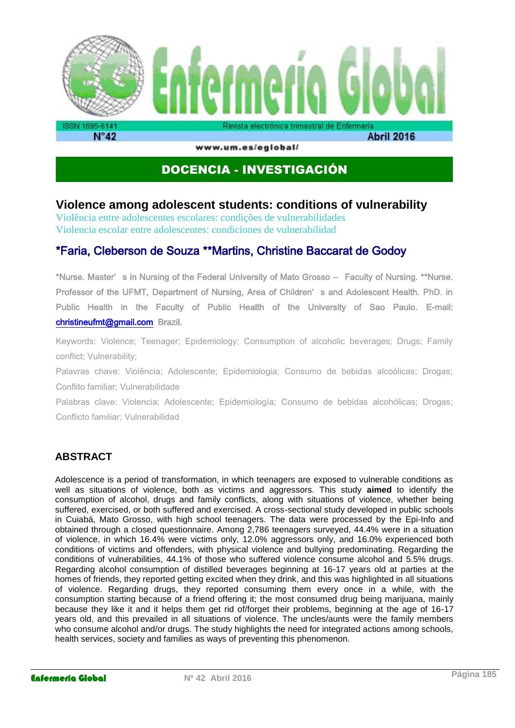

www.um.es/eglobal/

**Abril 2016** 

# DOCENCIA - INVESTIGACIÓN

## **Violence among adolescent students: conditions of vulnerability**

Violência entre adolescentes escolares: condições de vulnerabilidades Violencia escolar entre adolescentes: condiciones de vulnerabilidad

# \*Faria, Cleberson de Souza \*\*Martins, Christine Baccarat de Godoy

\*Nurse. Master' s in Nursing of the Federal University of Mato Grosso – Faculty of Nursing. \*\*Nurse. Professor of the UFMT, Department of Nursing, Area of Children' s and Adolescent Health. PhD. in Public Health in the Faculty of Public Health of the University of Sao Paulo. E-mail: [christineufmt@gmail.com](mailto:christineufmt@gmail.com) Brazil.

Keywords: Violence; Teenager; Epidemiology; Consumption of alcoholic beverages; Drugs; Family conflict; Vulnerability;

Palavras chave: Violência; Adolescente; Epidemiologia; Consumo de bebidas alcoólicas; Drogas; Conflito familiar; Vulnerabilidade

Palabras clave: Violencia; Adolescente; Epidemiología; Consumo de bebidas alcohólicas; Drogas; Conflicto familiar; Vulnerabilidad

## **ABSTRACT**

Adolescence is a period of transformation, in which teenagers are exposed to vulnerable conditions as well as situations of violence, both as victims and aggressors. This study **aimed** to identify the consumption of alcohol, drugs and family conflicts, along with situations of violence, whether being suffered, exercised, or both suffered and exercised. A cross-sectional study developed in public schools in Cuiabá, Mato Grosso, with high school teenagers. The data were processed by the Epi-Info and obtained through a closed questionnaire. Among 2,786 teenagers surveyed, 44.4% were in a situation of violence, in which 16.4% were victims only, 12.0% aggressors only, and 16.0% experienced both conditions of victims and offenders, with physical violence and bullying predominating. Regarding the conditions of vulnerabilities, 44.1% of those who suffered violence consume alcohol and 5.5% drugs. Regarding alcohol consumption of distilled beverages beginning at 16-17 years old at parties at the homes of friends, they reported getting excited when they drink, and this was highlighted in all situations of violence. Regarding drugs, they reported consuming them every once in a while, with the consumption starting because of a friend offering it; the most consumed drug being marijuana, mainly because they like it and it helps them get rid of/forget their problems, beginning at the age of 16-17 years old, and this prevailed in all situations of violence. The uncles/aunts were the family members who consume alcohol and/or drugs. The study highlights the need for integrated actions among schools, health services, society and families as ways of preventing this phenomenon.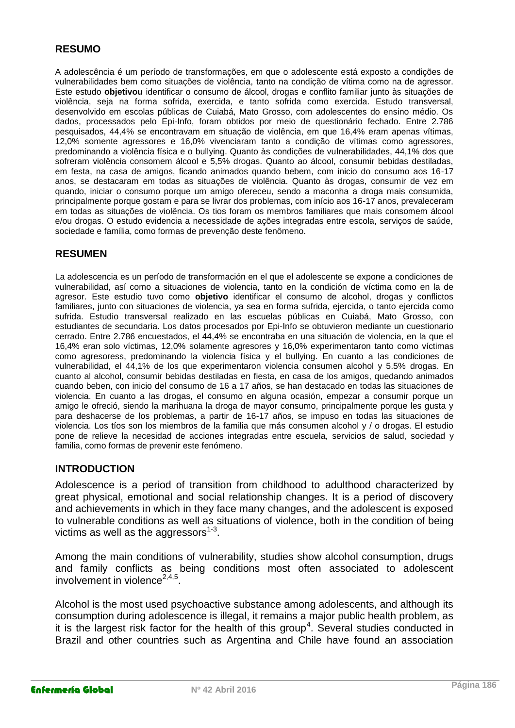### **RESUMO**

A adolescência é um período de transformações, em que o adolescente está exposto a condições de vulnerabilidades bem como situações de violência, tanto na condição de vítima como na de agressor. Este estudo **objetivou** identificar o consumo de álcool, drogas e conflito familiar junto às situações de violência, seja na forma sofrida, exercida, e tanto sofrida como exercida. Estudo transversal, desenvolvido em escolas públicas de Cuiabá, Mato Grosso, com adolescentes do ensino médio. Os dados, processados pelo Epi-Info, foram obtidos por meio de questionário fechado. Entre 2.786 pesquisados, 44,4% se encontravam em situação de violência, em que 16,4% eram apenas vítimas, 12,0% somente agressores e 16,0% vivenciaram tanto a condição de vítimas como agressores, predominando a violência física e o bullying. Quanto às condições de vulnerabilidades, 44,1% dos que sofreram violência consomem álcool e 5,5% drogas. Quanto ao álcool, consumir bebidas destiladas, em festa, na casa de amigos, ficando animados quando bebem, com inicio do consumo aos 16-17 anos, se destacaram em todas as situações de violência. Quanto às drogas, consumir de vez em quando, iniciar o consumo porque um amigo ofereceu, sendo a maconha a droga mais consumida, principalmente porque gostam e para se livrar dos problemas, com início aos 16-17 anos, prevaleceram em todas as situações de violência. Os tios foram os membros familiares que mais consomem álcool e/ou drogas. O estudo evidencia a necessidade de ações integradas entre escola, serviços de saúde, sociedade e família, como formas de prevenção deste fenômeno.

#### **RESUMEN**

La adolescencia es un período de transformación en el que el adolescente se expone a condiciones de vulnerabilidad, así como a situaciones de violencia, tanto en la condición de víctima como en la de agresor. Este estudio tuvo como **objetivo** identificar el consumo de alcohol, drogas y conflictos familiares, junto con situaciones de violencia, ya sea en forma sufrida, ejercida, o tanto ejercida como sufrida. Estudio transversal realizado en las escuelas públicas en Cuiabá, Mato Grosso, con estudiantes de secundaria. Los datos procesados por Epi-Info se obtuvieron mediante un cuestionario cerrado. Entre 2.786 encuestados, el 44,4% se encontraba en una situación de violencia, en la que el 16,4% eran solo víctimas, 12,0% solamente agresores y 16,0% experimentaron tanto como víctimas como agresoress, predominando la violencia física y el bullying. En cuanto a las condiciones de vulnerabilidad, el 44,1% de los que experimentaron violencia consumen alcohol y 5.5% drogas. En cuanto al alcohol, consumir bebidas destiladas en fiesta, en casa de los amigos, quedando animados cuando beben, con inicio del consumo de 16 a 17 años, se han destacado en todas las situaciones de violencia. En cuanto a las drogas, el consumo en alguna ocasión, empezar a consumir porque un amigo le ofreció, siendo la marihuana la droga de mayor consumo, principalmente porque les gusta y para deshacerse de los problemas, a partir de 16-17 años, se impuso en todas las situaciones de violencia. Los tíos son los miembros de la familia que más consumen alcohol y / o drogas. El estudio pone de relieve la necesidad de acciones integradas entre escuela, servicios de salud, sociedad y familia, como formas de prevenir este fenómeno.

#### **INTRODUCTION**

Adolescence is a period of transition from childhood to adulthood characterized by great physical, emotional and social relationship changes. It is a period of discovery and achievements in which in they face many changes, and the adolescent is exposed to vulnerable conditions as well as situations of violence, both in the condition of being victims as well as the aggressors $^{\rm 1-3}.$ 

Among the main conditions of vulnerability, studies show alcohol consumption, drugs and family conflicts as being conditions most often associated to adolescent involvement in violence $^{2,4,5}$ .

Alcohol is the most used psychoactive substance among adolescents, and although its consumption during adolescence is illegal, it remains a major public health problem, as it is the largest risk factor for the health of this group<sup>4</sup>. Several studies conducted in Brazil and other countries such as Argentina and Chile have found an association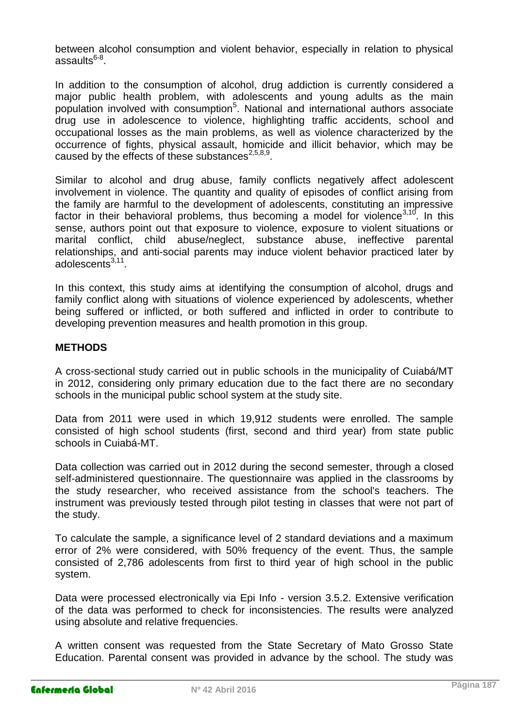between alcohol consumption and violent behavior, especially in relation to physical assaults<sup>6-8</sup>.

In addition to the consumption of alcohol, drug addiction is currently considered a major public health problem, with adolescents and young adults as the main population involved with consumption<sup>5</sup>. National and international authors associate drug use in adolescence to violence, highlighting traffic accidents, school and occupational losses as the main problems, as well as violence characterized by the occurrence of fights, physical assault, homicide and illicit behavior, which may be caused by the effects of these substances $^{2,5,8,9}$ .

Similar to alcohol and drug abuse, family conflicts negatively affect adolescent involvement in violence. The quantity and quality of episodes of conflict arising from the family are harmful to the development of adolescents, constituting an impressive factor in their behavioral problems, thus becoming a model for violence<sup>3,10</sup>. In this sense, authors point out that exposure to violence, exposure to violent situations or marital conflict, child abuse/neglect, substance abuse, ineffective parental relationships, and anti-social parents may induce violent behavior practiced later by adolescents<sup>3,11</sup>.

In this context, this study aims at identifying the consumption of alcohol, drugs and family conflict along with situations of violence experienced by adolescents, whether being suffered or inflicted, or both suffered and inflicted in order to contribute to developing prevention measures and health promotion in this group.

#### **METHODS**

A cross-sectional study carried out in public schools in the municipality of Cuiabá/MT in 2012, considering only primary education due to the fact there are no secondary schools in the municipal public school system at the study site.

Data from 2011 were used in which 19,912 students were enrolled. The sample consisted of high school students (first, second and third year) from state public schools in Cuiabá-MT.

Data collection was carried out in 2012 during the second semester, through a closed self-administered questionnaire. The questionnaire was applied in the classrooms by the study researcher, who received assistance from the school's teachers. The instrument was previously tested through pilot testing in classes that were not part of the study.

To calculate the sample, a significance level of 2 standard deviations and a maximum error of 2% were considered, with 50% frequency of the event. Thus, the sample consisted of 2,786 adolescents from first to third year of high school in the public system.

Data were processed electronically via Epi Info - version 3.5.2. Extensive verification of the data was performed to check for inconsistencies. The results were analyzed using absolute and relative frequencies.

A written consent was requested from the State Secretary of Mato Grosso State Education. Parental consent was provided in advance by the school. The study was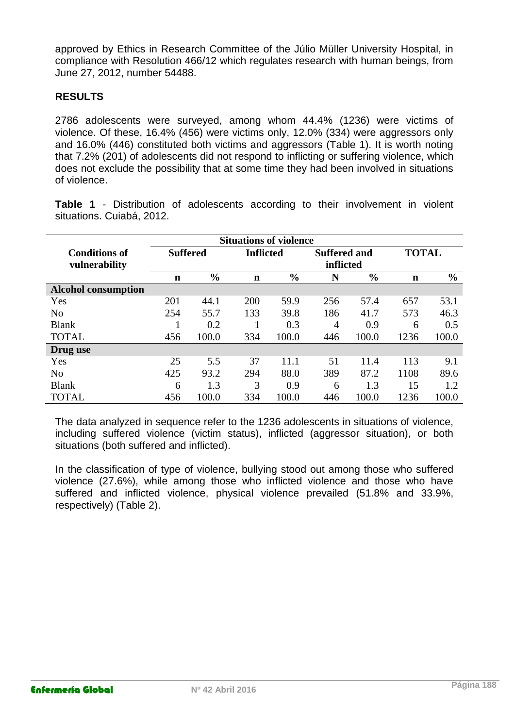approved by Ethics in Research Committee of the Júlio Müller University Hospital, in compliance with Resolution 466/12 which regulates research with human beings, from June 27, 2012, number 54488.

## **RESULTS**

2786 adolescents were surveyed, among whom 44.4% (1236) were victims of violence. Of these, 16.4% (456) were victims only, 12.0% (334) were aggressors only and 16.0% (446) constituted both victims and aggressors (Table 1). It is worth noting that 7.2% (201) of adolescents did not respond to inflicting or suffering violence, which does not exclude the possibility that at some time they had been involved in situations of violence.

**Table 1** - Distribution of adolescents according to their involvement in violent situations. Cuiabá, 2012.

|                                       |                 | <b>Situations of violence</b> |                  |               |                                  |               |              |               |
|---------------------------------------|-----------------|-------------------------------|------------------|---------------|----------------------------------|---------------|--------------|---------------|
| <b>Conditions of</b><br>vulnerability | <b>Suffered</b> |                               | <b>Inflicted</b> |               | <b>Suffered and</b><br>inflicted |               | <b>TOTAL</b> |               |
|                                       | n               | $\frac{6}{6}$                 | $\mathbf n$      | $\frac{6}{6}$ | N                                | $\frac{6}{6}$ | $\mathbf n$  | $\frac{6}{6}$ |
| <b>Alcohol consumption</b>            |                 |                               |                  |               |                                  |               |              |               |
| Yes                                   | 201             | 44.1                          | 200              | 59.9          | 256                              | 57.4          | 657          | 53.1          |
| N <sub>0</sub>                        | 254             | 55.7                          | 133              | 39.8          | 186                              | 41.7          | 573          | 46.3          |
| <b>Blank</b>                          |                 | 0.2                           |                  | 0.3           | $\overline{4}$                   | 0.9           | 6            | 0.5           |
| <b>TOTAL</b>                          | 456             | 100.0                         | 334              | 100.0         | 446                              | 100.0         | 1236         | 100.0         |
| Drug use                              |                 |                               |                  |               |                                  |               |              |               |
| Yes                                   | 25              | 5.5                           | 37               | 11.1          | 51                               | 11.4          | 113          | 9.1           |
| N <sub>0</sub>                        | 425             | 93.2                          | 294              | 88.0          | 389                              | 87.2          | 1108         | 89.6          |
| <b>Blank</b>                          | 6               | 1.3                           | 3                | 0.9           | 6                                | 1.3           | 15           | 1.2           |
| <b>TOTAL</b>                          | 456             | 100.0                         | 334              | 100.0         | 446                              | 100.0         | 1236         | 100.0         |

The data analyzed in sequence refer to the 1236 adolescents in situations of violence, including suffered violence (victim status), inflicted (aggressor situation), or both situations (both suffered and inflicted).

In the classification of type of violence, bullying stood out among those who suffered violence (27.6%), while among those who inflicted violence and those who have suffered and inflicted violence, physical violence prevailed (51.8% and 33.9%, respectively) (Table 2).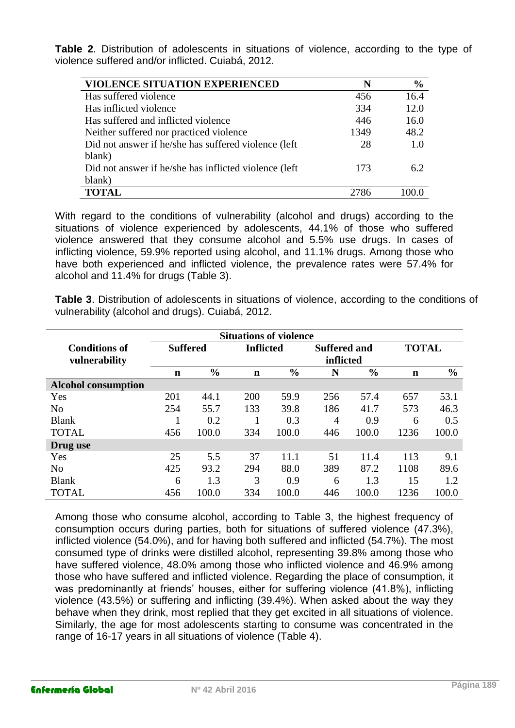**Table 2**. Distribution of adolescents in situations of violence, according to the type of violence suffered and/or inflicted. Cuiabá, 2012.

| <b>VIOLENCE SITUATION EXPERIENCED</b>                  | N    | $\frac{0}{0}$ |
|--------------------------------------------------------|------|---------------|
| Has suffered violence                                  | 456  | 16.4          |
| Has inflicted violence                                 | 334  | 12.0          |
| Has suffered and inflicted violence                    | 446  | 16.0          |
| Neither suffered nor practiced violence                | 1349 | 48.2          |
| Did not answer if he/she has suffered violence (left)  | 28   | 1.0           |
| blank)                                                 |      |               |
| Did not answer if he/she has inflicted violence (left) | 173  | 62            |
| blank)                                                 |      |               |
| <b>TOTAL</b>                                           | 2786 |               |

With regard to the conditions of vulnerability (alcohol and drugs) according to the situations of violence experienced by adolescents, 44.1% of those who suffered violence answered that they consume alcohol and 5.5% use drugs. In cases of inflicting violence, 59.9% reported using alcohol, and 11.1% drugs. Among those who have both experienced and inflicted violence, the prevalence rates were 57.4% for alcohol and 11.4% for drugs (Table 3).

**Table 3**. Distribution of adolescents in situations of violence, according to the conditions of vulnerability (alcohol and drugs). Cuiabá, 2012.

|                            | <b>Situations of violence</b> |                 |             |                  |                                  |               |              |               |
|----------------------------|-------------------------------|-----------------|-------------|------------------|----------------------------------|---------------|--------------|---------------|
| <b>Conditions of</b>       |                               | <b>Suffered</b> |             | <b>Inflicted</b> | <b>Suffered and</b><br>inflicted |               | <b>TOTAL</b> |               |
| vulnerability              |                               |                 |             |                  |                                  |               |              |               |
|                            | n                             | $\frac{0}{0}$   | $\mathbf n$ | $\frac{0}{0}$    | N                                | $\frac{6}{9}$ | $\mathbf n$  | $\frac{0}{0}$ |
| <b>Alcohol consumption</b> |                               |                 |             |                  |                                  |               |              |               |
| Yes                        | 201                           | 44.1            | 200         | 59.9             | 256                              | 57.4          | 657          | 53.1          |
| N <sub>o</sub>             | 254                           | 55.7            | 133         | 39.8             | 186                              | 41.7          | 573          | 46.3          |
| <b>Blank</b>               |                               | 0.2             |             | 0.3              | $\overline{4}$                   | 0.9           | 6            | 0.5           |
| <b>TOTAL</b>               | 456                           | 100.0           | 334         | 100.0            | 446                              | 100.0         | 1236         | 100.0         |
| Drug use                   |                               |                 |             |                  |                                  |               |              |               |
| Yes                        | 25                            | 5.5             | 37          | 11.1             | 51                               | 11.4          | 113          | 9.1           |
| N <sub>0</sub>             | 425                           | 93.2            | 294         | 88.0             | 389                              | 87.2          | 1108         | 89.6          |
| <b>Blank</b>               | 6                             | 1.3             | 3           | 0.9              | 6                                | 1.3           | 15           | 1.2           |
| <b>TOTAL</b>               | 456                           | 100.0           | 334         | 100.0            | 446                              | 100.0         | 1236         | 100.0         |

Among those who consume alcohol, according to Table 3, the highest frequency of consumption occurs during parties, both for situations of suffered violence (47.3%), inflicted violence (54.0%), and for having both suffered and inflicted (54.7%). The most consumed type of drinks were distilled alcohol, representing 39.8% among those who have suffered violence, 48.0% among those who inflicted violence and 46.9% among those who have suffered and inflicted violence. Regarding the place of consumption, it was predominantly at friends' houses, either for suffering violence (41.8%), inflicting violence (43.5%) or suffering and inflicting (39.4%). When asked about the way they behave when they drink, most replied that they get excited in all situations of violence. Similarly, the age for most adolescents starting to consume was concentrated in the range of 16-17 years in all situations of violence (Table 4).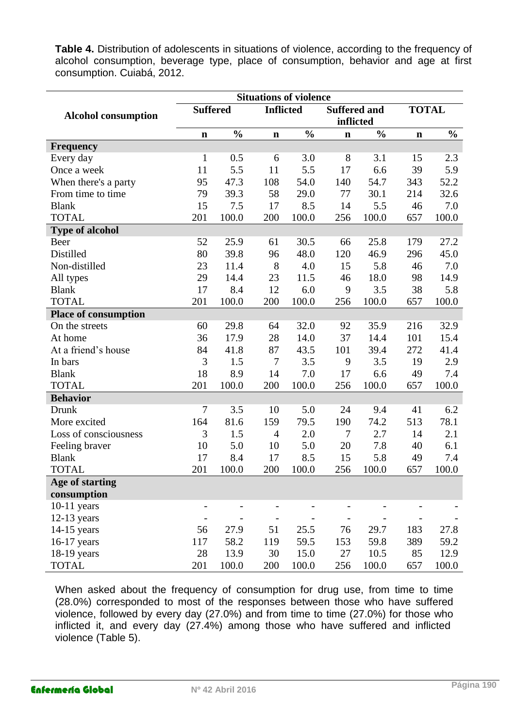**Table 4.** Distribution of adolescents in situations of violence, according to the frequency of alcohol consumption, beverage type, place of consumption, behavior and age at first consumption. Cuiabá, 2012.

|                             | <b>Situations of violence</b> |               |                |                  |             |                                  |             |               |  |
|-----------------------------|-------------------------------|---------------|----------------|------------------|-------------|----------------------------------|-------------|---------------|--|
| <b>Alcohol consumption</b>  | <b>Suffered</b>               |               |                | <b>Inflicted</b> |             | <b>Suffered and</b><br>inflicted |             | <b>TOTAL</b>  |  |
|                             | $\mathbf n$                   | $\frac{0}{0}$ | $\mathbf n$    | $\frac{0}{0}$    | $\mathbf n$ | $\frac{0}{0}$                    | $\mathbf n$ | $\frac{0}{0}$ |  |
| <b>Frequency</b>            |                               |               |                |                  |             |                                  |             |               |  |
| Every day                   | $\mathbf{1}$                  | 0.5           | 6              | 3.0              | 8           | 3.1                              | 15          | 2.3           |  |
| Once a week                 | 11                            | 5.5           | 11             | 5.5              | 17          | 6.6                              | 39          | 5.9           |  |
| When there's a party        | 95                            | 47.3          | 108            | 54.0             | 140         | 54.7                             | 343         | 52.2          |  |
| From time to time           | 79                            | 39.3          | 58             | 29.0             | 77          | 30.1                             | 214         | 32.6          |  |
| <b>Blank</b>                | 15                            | 7.5           | 17             | 8.5              | 14          | 5.5                              | 46          | 7.0           |  |
| <b>TOTAL</b>                | 201                           | 100.0         | 200            | 100.0            | 256         | 100.0                            | 657         | 100.0         |  |
| <b>Type of alcohol</b>      |                               |               |                |                  |             |                                  |             |               |  |
| Beer                        | 52                            | 25.9          | 61             | 30.5             | 66          | 25.8                             | 179         | 27.2          |  |
| Distilled                   | 80                            | 39.8          | 96             | 48.0             | 120         | 46.9                             | 296         | 45.0          |  |
| Non-distilled               | 23                            | 11.4          | 8              | 4.0              | 15          | 5.8                              | 46          | 7.0           |  |
| All types                   | 29                            | 14.4          | 23             | 11.5             | 46          | 18.0                             | 98          | 14.9          |  |
| <b>Blank</b>                | 17                            | 8.4           | 12             | 6.0              | 9           | 3.5                              | 38          | 5.8           |  |
| <b>TOTAL</b>                | 201                           | 100.0         | 200            | 100.0            | 256         | 100.0                            | 657         | 100.0         |  |
| <b>Place of consumption</b> |                               |               |                |                  |             |                                  |             |               |  |
| On the streets              | 60                            | 29.8          | 64             | 32.0             | 92          | 35.9                             | 216         | 32.9          |  |
| At home                     | 36                            | 17.9          | 28             | 14.0             | 37          | 14.4                             | 101         | 15.4          |  |
| At a friend's house         | 84                            | 41.8          | 87             | 43.5             | 101         | 39.4                             | 272         | 41.4          |  |
| In bars                     | 3                             | 1.5           | $\tau$         | 3.5              | 9           | 3.5                              | 19          | 2.9           |  |
| <b>Blank</b>                | 18                            | 8.9           | 14             | 7.0              | 17          | 6.6                              | 49          | 7.4           |  |
| <b>TOTAL</b>                | 201                           | 100.0         | 200            | 100.0            | 256         | 100.0                            | 657         | 100.0         |  |
| <b>Behavior</b>             |                               |               |                |                  |             |                                  |             |               |  |
| Drunk                       | $\overline{7}$                | 3.5           | 10             | 5.0              | 24          | 9.4                              | 41          | 6.2           |  |
| More excited                | 164                           | 81.6          | 159            | 79.5             | 190         | 74.2                             | 513         | 78.1          |  |
| Loss of consciousness       | 3                             | 1.5           | $\overline{4}$ | 2.0              | 7           | 2.7                              | 14          | 2.1           |  |
| Feeling braver              | 10                            | 5.0           | 10             | 5.0              | 20          | 7.8                              | 40          | 6.1           |  |
| <b>Blank</b>                | 17                            | 8.4           | 17             | 8.5              | 15          | 5.8                              | 49          | 7.4           |  |
| <b>TOTAL</b>                | 201                           | 100.0         | 200            | 100.0            | 256         | 100.0                            | 657         | 100.0         |  |
| Age of starting             |                               |               |                |                  |             |                                  |             |               |  |
| consumption                 |                               |               |                |                  |             |                                  |             |               |  |
| $10-11$ years               |                               |               |                |                  |             |                                  |             |               |  |
| $12-13$ years               |                               |               |                |                  |             |                                  |             |               |  |
| $14-15$ years               | 56                            | 27.9          | 51             | 25.5             | 76          | 29.7                             | 183         | 27.8          |  |
| 16-17 years                 | 117                           | 58.2          | 119            | 59.5             | 153         | 59.8                             | 389         | 59.2          |  |
| 18-19 years                 | 28                            | 13.9          | 30             | 15.0             | 27          | 10.5                             | 85          | 12.9          |  |
| <b>TOTAL</b>                | 201                           | 100.0         | 200            | 100.0            | 256         | 100.0                            | 657         | 100.0         |  |

When asked about the frequency of consumption for drug use, from time to time (28.0%) corresponded to most of the responses between those who have suffered violence, followed by every day (27.0%) and from time to time (27.0%) for those who inflicted it, and every day (27.4%) among those who have suffered and inflicted violence (Table 5).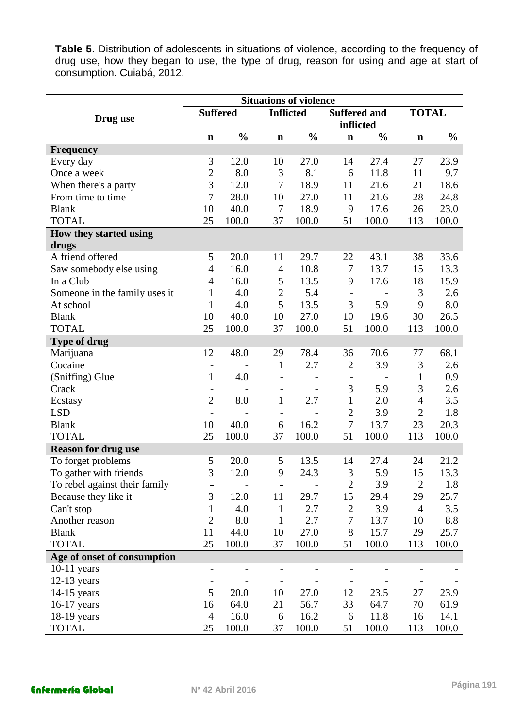**Table 5**. Distribution of adolescents in situations of violence, according to the frequency of drug use, how they began to use, the type of drug, reason for using and age at start of consumption. Cuiabá, 2012.

|                               | <b>Situations of violence</b> |               |                          |                          |                   |                     |                |               |  |
|-------------------------------|-------------------------------|---------------|--------------------------|--------------------------|-------------------|---------------------|----------------|---------------|--|
| Drug use                      | <b>Suffered</b>               |               |                          | <b>Inflicted</b>         |                   | <b>Suffered and</b> |                | <b>TOTAL</b>  |  |
|                               |                               |               |                          |                          | inflicted         |                     |                |               |  |
|                               | $\mathbf n$                   | $\frac{0}{0}$ | $\mathbf n$              | $\frac{0}{0}$            | $\mathbf n$       | $\frac{0}{0}$       | $\mathbf n$    | $\frac{0}{0}$ |  |
| <b>Frequency</b>              |                               |               |                          |                          |                   |                     |                |               |  |
| Every day                     | 3                             | 12.0          | 10                       | 27.0                     | 14                | 27.4                | 27             | 23.9          |  |
| Once a week                   | $\overline{c}$                | 8.0           | 3                        | 8.1                      | 6                 | 11.8                | 11             | 9.7           |  |
| When there's a party          | $\overline{3}$                | 12.0          | $\overline{7}$           | 18.9                     | 11                | 21.6                | 21             | 18.6          |  |
| From time to time             | 7                             | 28.0          | 10                       | 27.0                     | 11                | 21.6                | 28             | 24.8          |  |
| <b>Blank</b>                  | 10                            | 40.0          | 7                        | 18.9                     | 9                 | 17.6                | 26             | 23.0          |  |
| <b>TOTAL</b>                  | 25                            | 100.0         | 37                       | 100.0                    | 51                | 100.0               | 113            | 100.0         |  |
| How they started using        |                               |               |                          |                          |                   |                     |                |               |  |
| drugs                         |                               |               |                          |                          |                   |                     |                |               |  |
| A friend offered              | 5                             | 20.0          | 11                       | 29.7                     | 22                | 43.1                | 38             | 33.6          |  |
| Saw somebody else using       | $\overline{4}$                | 16.0          | $\overline{4}$           | 10.8                     | 7                 | 13.7                | 15             | 13.3          |  |
| In a Club                     | $\overline{4}$                | 16.0          | 5                        | 13.5                     | 9                 | 17.6                | 18             | 15.9          |  |
| Someone in the family uses it | 1                             | 4.0           | $\overline{2}$           | 5.4                      | $\qquad \qquad -$ |                     | 3              | 2.6           |  |
| At school                     | 1                             | 4.0           | 5                        | 13.5                     | $\mathfrak{Z}$    | 5.9                 | 9              | 8.0           |  |
| <b>Blank</b>                  | 10                            | 40.0          | 10                       | 27.0                     | 10                | 19.6                | 30             | 26.5          |  |
| <b>TOTAL</b>                  | 25                            | 100.0         | 37                       | 100.0                    | 51                | 100.0               | 113            | 100.0         |  |
| <b>Type of drug</b>           |                               |               |                          |                          |                   |                     |                |               |  |
| Marijuana                     | 12                            | 48.0          | 29                       | 78.4                     | 36                | 70.6                | 77             | 68.1          |  |
| Cocaine                       | $\overline{\phantom{a}}$      |               | $\mathbf{1}$             | 2.7                      | $\mathbf{2}$      | 3.9                 | 3              | 2.6           |  |
| (Sniffing) Glue               | $\mathbf{1}$                  | 4.0           |                          |                          |                   |                     | $\mathbf{1}$   | 0.9           |  |
| Crack                         |                               |               | $\overline{\phantom{a}}$ |                          | 3                 | 5.9                 | 3              | 2.6           |  |
| Ecstasy                       | $\overline{2}$                | 8.0           | $\mathbf{1}$             | 2.7                      | $\mathbf{1}$      | 2.0                 | $\overline{4}$ | 3.5           |  |
| <b>LSD</b>                    |                               |               |                          |                          | $\overline{2}$    | 3.9                 | $\overline{2}$ | 1.8           |  |
| <b>Blank</b>                  | 10                            | 40.0          | 6                        | 16.2                     | $\boldsymbol{7}$  | 13.7                | 23             | 20.3          |  |
| <b>TOTAL</b>                  | 25                            | 100.0         | 37                       | 100.0                    | 51                | 100.0               | 113            | 100.0         |  |
| <b>Reason for drug use</b>    |                               |               |                          |                          |                   |                     |                |               |  |
| To forget problems            | 5                             | 20.0          | 5                        | 13.5                     | 14                | 27.4                | 24             | 21.2          |  |
| To gather with friends        | 3                             | 12.0          | 9                        | 24.3                     | 3                 | 5.9                 | 15             | 13.3          |  |
| To rebel against their family |                               |               | $\overline{\phantom{0}}$ | $\overline{\phantom{a}}$ | $\mathbf{2}$      | 3.9                 | $\mathbf{2}$   | 1.8           |  |
| Because they like it          | 3                             | 12.0          | 11                       | 29.7                     | 15                | 29.4                | 29             | 25.7          |  |
| Can't stop                    | 1                             | 4.0           | $\mathbf{1}$             | 2.7                      | $\mathbf{2}$      | 3.9                 | $\overline{4}$ | 3.5           |  |
| Another reason                | $\overline{2}$                | 8.0           | $\mathbf{1}$             | 2.7                      | 7                 | 13.7                | 10             | 8.8           |  |
| <b>Blank</b>                  | 11                            | 44.0          | 10                       | 27.0                     | 8                 | 15.7                | 29             | 25.7          |  |
| <b>TOTAL</b>                  | 25                            | 100.0         | 37                       | 100.0                    | 51                | 100.0               | 113            | 100.0         |  |
| Age of onset of consumption   |                               |               |                          |                          |                   |                     |                |               |  |
| $10-11$ years                 |                               |               |                          |                          |                   |                     |                |               |  |
| $12-13$ years                 |                               |               |                          |                          |                   |                     |                |               |  |
| $14-15$ years                 | 5                             | 20.0          | 10                       | 27.0                     | 12                | 23.5                | 27             | 23.9          |  |
| $16-17$ years                 | 16                            | 64.0          | 21                       | 56.7                     | 33                | 64.7                | 70             | 61.9          |  |
| $18-19$ years                 | $\overline{4}$                | 16.0          | 6                        | 16.2                     | 6                 | 11.8                | 16             | 14.1          |  |
| <b>TOTAL</b>                  | 25                            | 100.0         | 37                       | 100.0                    | 51                | 100.0               | 113            | 100.0         |  |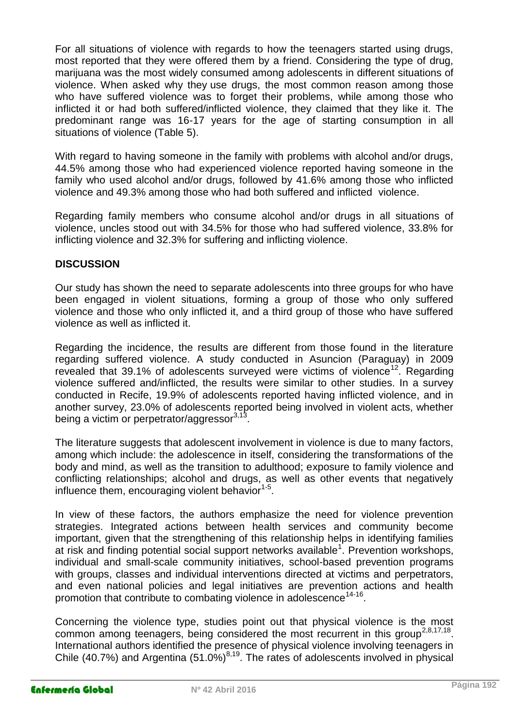For all situations of violence with regards to how the teenagers started using drugs, most reported that they were offered them by a friend. Considering the type of drug, marijuana was the most widely consumed among adolescents in different situations of violence. When asked why they use drugs, the most common reason among those who have suffered violence was to forget their problems, while among those who inflicted it or had both suffered/inflicted violence, they claimed that they like it. The predominant range was 16-17 years for the age of starting consumption in all situations of violence (Table 5).

With regard to having someone in the family with problems with alcohol and/or drugs, 44.5% among those who had experienced violence reported having someone in the family who used alcohol and/or drugs, followed by 41.6% among those who inflicted violence and 49.3% among those who had both suffered and inflicted violence.

Regarding family members who consume alcohol and/or drugs in all situations of violence, uncles stood out with 34.5% for those who had suffered violence, 33.8% for inflicting violence and 32.3% for suffering and inflicting violence.

## **DISCUSSION**

Our study has shown the need to separate adolescents into three groups for who have been engaged in violent situations, forming a group of those who only suffered violence and those who only inflicted it, and a third group of those who have suffered violence as well as inflicted it.

Regarding the incidence, the results are different from those found in the literature regarding suffered violence. A study conducted in Asuncion (Paraguay) in 2009 revealed that  $39.1\%$  of adolescents surveyed were victims of violence<sup>12</sup>. Regarding violence suffered and/inflicted, the results were similar to other studies. In a survey conducted in Recife, 19.9% of adolescents reported having inflicted violence, and in another survey, 23.0% of adolescents reported being involved in violent acts, whether being a victim or perpetrator/aggressor<sup>3,13</sup>.

The literature suggests that adolescent involvement in violence is due to many factors, among which include: the adolescence in itself, considering the transformations of the body and mind, as well as the transition to adulthood; exposure to family violence and conflicting relationships; alcohol and drugs, as well as other events that negatively influence them, encouraging violent behavior<sup>1-5</sup>.

In view of these factors, the authors emphasize the need for violence prevention strategies. Integrated actions between health services and community become important, given that the strengthening of this relationship helps in identifying families at risk and finding potential social support networks available<sup>1</sup>. Prevention workshops, individual and small-scale community initiatives, school-based prevention programs with groups, classes and individual interventions directed at victims and perpetrators, and even national policies and legal initiatives are prevention actions and health promotion that contribute to combating violence in adolescence<sup>14-16</sup>.

Concerning the violence type, studies point out that physical violence is the most common among teenagers, being considered the most recurrent in this group<sup>2,8,17,18</sup>. International authors identified the presence of physical violence involving teenagers in Chile (40.7%) and Argentina (51.0%) $^{8,19}$ . The rates of adolescents involved in physical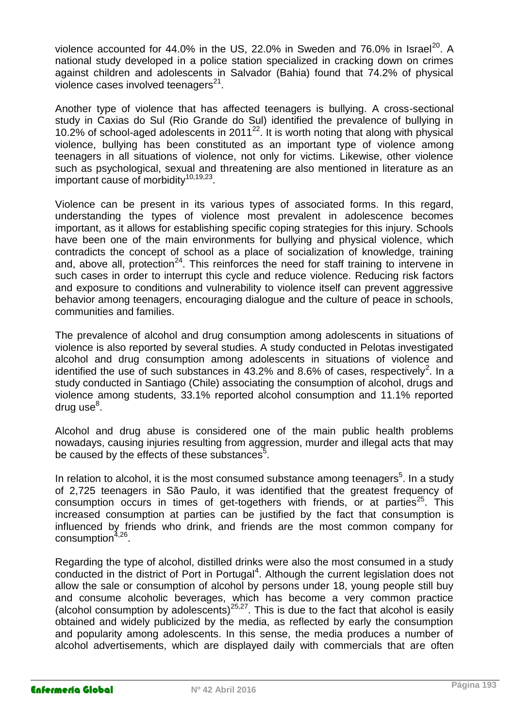violence accounted for 44.0% in the US, 22.0% in Sweden and 76.0% in Israel<sup>20</sup>. A national study developed in a police station specialized in cracking down on crimes against children and adolescents in Salvador (Bahia) found that 74.2% of physical violence cases involved teenagers $^{21}$ .

Another type of violence that has affected teenagers is bullying. A cross-sectional study in Caxias do Sul (Rio Grande do Sul) identified the prevalence of bullying in 10.2% of school-aged adolescents in 2011<sup>22</sup>. It is worth noting that along with physical violence, bullying has been constituted as an important type of violence among teenagers in all situations of violence, not only for victims. Likewise, other violence such as psychological, sexual and threatening are also mentioned in literature as an important cause of morbidity<sup>10,19,23</sup>.

Violence can be present in its various types of associated forms. In this regard, understanding the types of violence most prevalent in adolescence becomes important, as it allows for establishing specific coping strategies for this injury. Schools have been one of the main environments for bullying and physical violence, which contradicts the concept of school as a place of socialization of knowledge, training and, above all, protection<sup>24</sup>. This reinforces the need for staff training to intervene in such cases in order to interrupt this cycle and reduce violence. Reducing risk factors and exposure to conditions and vulnerability to violence itself can prevent aggressive behavior among teenagers, encouraging dialogue and the culture of peace in schools, communities and families.

The prevalence of alcohol and drug consumption among adolescents in situations of violence is also reported by several studies. A study conducted in Pelotas investigated alcohol and drug consumption among adolescents in situations of violence and identified the use of such substances in 43.2% and 8.6% of cases, respectively<sup>2</sup>. In a study conducted in Santiago (Chile) associating the consumption of alcohol, drugs and violence among students, 33.1% reported alcohol consumption and 11.1% reported drug use<sup>8</sup>.

Alcohol and drug abuse is considered one of the main public health problems nowadays, causing injuries resulting from aggression, murder and illegal acts that may be caused by the effects of these substances $5$ .

In relation to alcohol, it is the most consumed substance among teenagers<sup>5</sup>. In a study of 2,725 teenagers in São Paulo, it was identified that the greatest frequency of consumption occurs in times of get-togethers with friends, or at parties<sup>25</sup>. This increased consumption at parties can be justified by the fact that consumption is influenced by friends who drink, and friends are the most common company for consumption<sup>4,26</sup>.

Regarding the type of alcohol, distilled drinks were also the most consumed in a study conducted in the district of Port in Portugal<sup>4</sup>. Although the current legislation does not allow the sale or consumption of alcohol by persons under 18, young people still buy and consume alcoholic beverages, which has become a very common practice (alcohol consumption by adolescents)<sup>25,27</sup>. This is due to the fact that alcohol is easily obtained and widely publicized by the media, as reflected by early the consumption and popularity among adolescents. In this sense, the media produces a number of alcohol advertisements, which are displayed daily with commercials that are often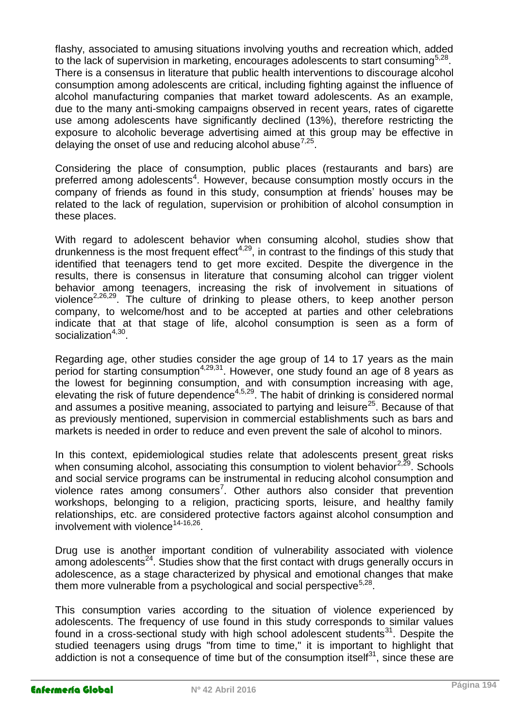flashy, associated to amusing situations involving youths and recreation which, added to the lack of supervision in marketing, encourages adolescents to start consuming<sup>5,28</sup>. There is a consensus in literature that public health interventions to discourage alcohol consumption among adolescents are critical, including fighting against the influence of alcohol manufacturing companies that market toward adolescents. As an example, due to the many anti-smoking campaigns observed in recent years, rates of cigarette use among adolescents have significantly declined (13%), therefore restricting the exposure to alcoholic beverage advertising aimed at this group may be effective in delaying the onset of use and reducing alcohol abuse<sup>7,25</sup>.

Considering the place of consumption, public places (restaurants and bars) are preferred among adolescents<sup>4</sup>. However, because consumption mostly occurs in the company of friends as found in this study, consumption at friends' houses may be related to the lack of regulation, supervision or prohibition of alcohol consumption in these places.

With regard to adolescent behavior when consuming alcohol, studies show that drunkenness is the most frequent effect<sup>4,29</sup>, in contrast to the findings of this study that identified that teenagers tend to get more excited. Despite the divergence in the results, there is consensus in literature that consuming alcohol can trigger violent behavior among teenagers, increasing the risk of involvement in situations of violence<sup>2,26,29</sup>. The culture of drinking to please others, to keep another person company, to welcome/host and to be accepted at parties and other celebrations indicate that at that stage of life, alcohol consumption is seen as a form of socialization<sup>4,30</sup>.

Regarding age, other studies consider the age group of 14 to 17 years as the main period for starting consumption<sup>4,29,31</sup>. However, one study found an age of 8 years as the lowest for beginning consumption, and with consumption increasing with age, elevating the risk of future dependence<sup>4,5,29</sup>. The habit of drinking is considered normal and assumes a positive meaning, associated to partying and leisure<sup>25</sup>. Because of that as previously mentioned, supervision in commercial establishments such as bars and markets is needed in order to reduce and even prevent the sale of alcohol to minors.

In this context, epidemiological studies relate that adolescents present great risks when consuming alcohol, associating this consumption to violent behavior $2.29$ . Schools and social service programs can be instrumental in reducing alcohol consumption and violence rates among consumers<sup>7</sup>. Other authors also consider that prevention workshops, belonging to a religion, practicing sports, leisure, and healthy family relationships, etc. are considered protective factors against alcohol consumption and involvement with violence<sup>14-16,26</sup>.

Drug use is another important condition of vulnerability associated with violence among adolescents<sup>24</sup>. Studies show that the first contact with drugs generally occurs in adolescence, as a stage characterized by physical and emotional changes that make them more vulnerable from a psychological and social perspective<sup>5,28</sup>.

This consumption varies according to the situation of violence experienced by adolescents. The frequency of use found in this study corresponds to similar values found in a cross-sectional study with high school adolescent students $31$ . Despite the studied teenagers using drugs "from time to time," it is important to highlight that addiction is not a consequence of time but of the consumption itself $31$ , since these are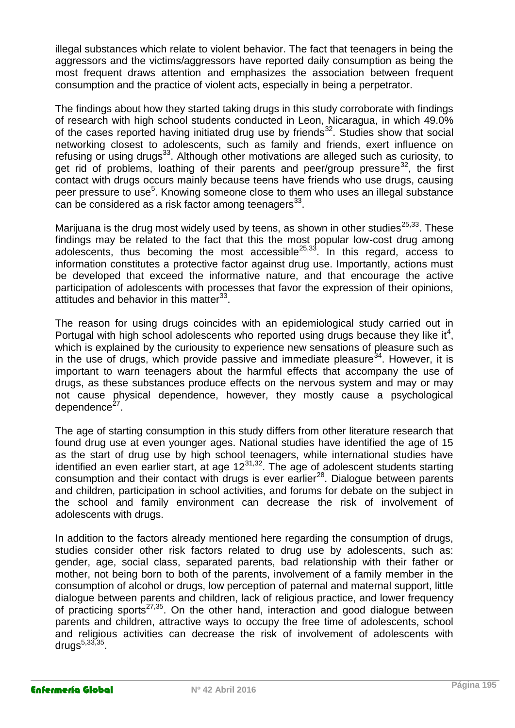illegal substances which relate to violent behavior. The fact that teenagers in being the aggressors and the victims/aggressors have reported daily consumption as being the most frequent draws attention and emphasizes the association between frequent consumption and the practice of violent acts, especially in being a perpetrator.

The findings about how they started taking drugs in this study corroborate with findings of research with high school students conducted in Leon, Nicaragua, in which 49.0% of the cases reported having initiated drug use by friends $32$ . Studies show that social networking closest to adolescents, such as family and friends, exert influence on refusing or using drugs<sup>33</sup>. Although other motivations are alleged such as curiosity, to get rid of problems, loathing of their parents and peer/group pressure  $32$ , the first contact with drugs occurs mainly because teens have friends who use drugs, causing peer pressure to use<sup>5</sup>. Knowing someone close to them who uses an illegal substance can be considered as a risk factor among teenagers $^{33}$ .

Marijuana is the drug most widely used by teens, as shown in other studies<sup>25,33</sup>. These findings may be related to the fact that this the most popular low-cost drug among adolescents, thus becoming the most accessible<sup>25,33</sup>. In this regard, access to information constitutes a protective factor against drug use. Importantly, actions must be developed that exceed the informative nature, and that encourage the active participation of adolescents with processes that favor the expression of their opinions, attitudes and behavior in this matter<sup>33</sup>.

The reason for using drugs coincides with an epidemiological study carried out in Portugal with high school adolescents who reported using drugs because they like it<sup>4</sup>, which is explained by the curiousity to experience new sensations of pleasure such as in the use of drugs, which provide passive and immediate pleasure $34$ . However, it is important to warn teenagers about the harmful effects that accompany the use of drugs, as these substances produce effects on the nervous system and may or may not cause physical dependence, however, they mostly cause a psychological dependence<sup>27</sup>.

The age of starting consumption in this study differs from other literature research that found drug use at even younger ages. National studies have identified the age of 15 as the start of drug use by high school teenagers, while international studies have identified an even earlier start, at age 12<sup>31,32</sup>. The age of adolescent students starting consumption and their contact with drugs is ever earlier<sup>28</sup>. Dialogue between parents and children, participation in school activities, and forums for debate on the subject in the school and family environment can decrease the risk of involvement of adolescents with drugs.

In addition to the factors already mentioned here regarding the consumption of drugs, studies consider other risk factors related to drug use by adolescents, such as: gender, age, social class, separated parents, bad relationship with their father or mother, not being born to both of the parents, involvement of a family member in the consumption of alcohol or drugs, low perception of paternal and maternal support, little dialogue between parents and children, lack of religious practice, and lower frequency of practicing sports<sup>27,35</sup>. On the other hand, interaction and good dialogue between parents and children, attractive ways to occupy the free time of adolescents, school and religious activities can decrease the risk of involvement of adolescents with drugs<sup>5,33,35</sup>.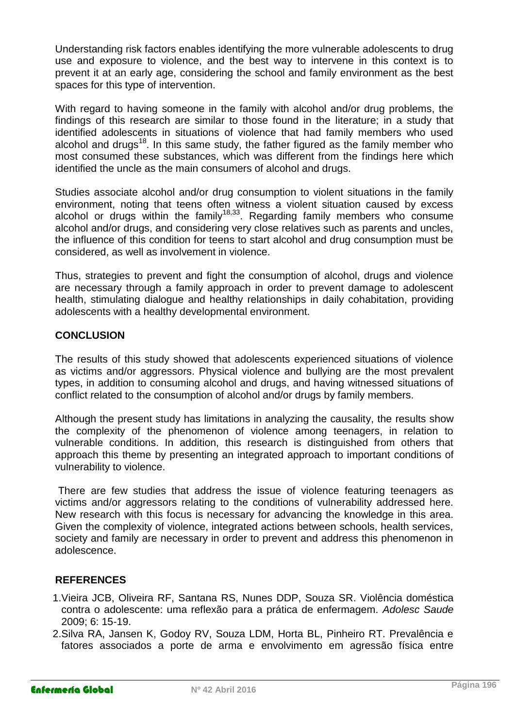Understanding risk factors enables identifying the more vulnerable adolescents to drug use and exposure to violence, and the best way to intervene in this context is to prevent it at an early age, considering the school and family environment as the best spaces for this type of intervention.

With regard to having someone in the family with alcohol and/or drug problems, the findings of this research are similar to those found in the literature; in a study that identified adolescents in situations of violence that had family members who used alcohol and drugs<sup>18</sup>. In this same study, the father figured as the family member who most consumed these substances, which was different from the findings here which identified the uncle as the main consumers of alcohol and drugs.

Studies associate alcohol and/or drug consumption to violent situations in the family environment, noting that teens often witness a violent situation caused by excess alcohol or drugs within the family<sup>18,33</sup>. Regarding family members who consume alcohol and/or drugs, and considering very close relatives such as parents and uncles, the influence of this condition for teens to start alcohol and drug consumption must be considered, as well as involvement in violence.

Thus, strategies to prevent and fight the consumption of alcohol, drugs and violence are necessary through a family approach in order to prevent damage to adolescent health, stimulating dialogue and healthy relationships in daily cohabitation, providing adolescents with a healthy developmental environment.

#### **CONCLUSION**

The results of this study showed that adolescents experienced situations of violence as victims and/or aggressors. Physical violence and bullying are the most prevalent types, in addition to consuming alcohol and drugs, and having witnessed situations of conflict related to the consumption of alcohol and/or drugs by family members.

Although the present study has limitations in analyzing the causality, the results show the complexity of the phenomenon of violence among teenagers, in relation to vulnerable conditions. In addition, this research is distinguished from others that approach this theme by presenting an integrated approach to important conditions of vulnerability to violence.

There are few studies that address the issue of violence featuring teenagers as victims and/or aggressors relating to the conditions of vulnerability addressed here. New research with this focus is necessary for advancing the knowledge in this area. Given the complexity of violence, integrated actions between schools, health services, society and family are necessary in order to prevent and address this phenomenon in adolescence.

## **REFERENCES**

- 1.Vieira JCB, Oliveira RF, Santana RS, Nunes DDP, Souza SR. Violência doméstica contra o adolescente: uma reflexão para a prática de enfermagem. *Adolesc Saude*  2009; 6: 15-19.
- 2.Silva RA, Jansen K, Godoy RV, Souza LDM, Horta BL, Pinheiro RT. Prevalência e fatores associados a porte de arma e envolvimento em agressão física entre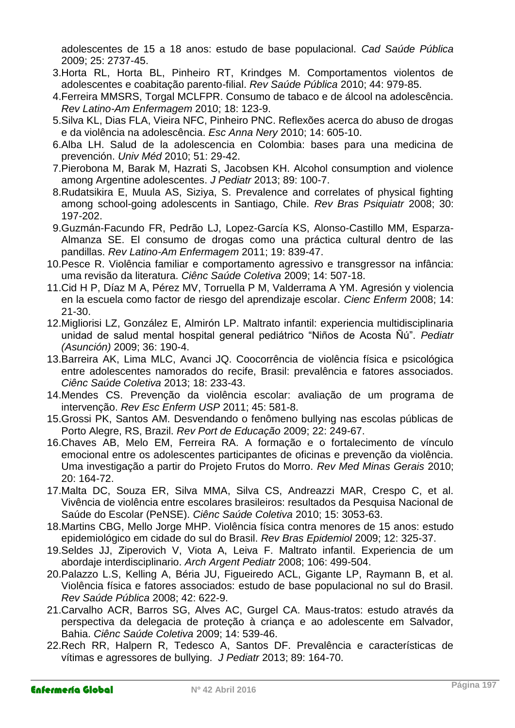adolescentes de 15 a 18 anos: estudo de base populacional. *Cad Saúde Pública* 2009; 25: 2737-45.

- 3.Horta RL, Horta BL, Pinheiro RT, Krindges M. Comportamentos violentos de adolescentes e coabitação parento-filial. *Rev Saúde Pública* 2010; 44: 979-85.
- 4.Ferreira MMSRS, Torgal MCLFPR. Consumo de tabaco e de álcool na adolescência. *Rev Latino-Am Enfermagem* 2010; 18: 123-9.
- 5.Silva KL, Dias FLA, Vieira NFC, Pinheiro PNC. Reflexões acerca do abuso de drogas e da violência na adolescência. *Esc Anna Nery* 2010; 14: 605-10.
- 6.Alba LH. Salud de la adolescencia en Colombia: bases para una medicina de prevención. *Univ Méd* 2010; 51: 29-42.
- 7.Pierobona M, Barak M, Hazrati S, Jacobsen KH. Alcohol consumption and violence among Argentine adolescentes. *J Pediatr* 2013; 89: 100-7.
- 8.Rudatsikira E, Muula AS, Siziya, S. Prevalence and correlates of physical fighting among school-going adolescents in Santiago, Chile. *Rev Bras Psiquiatr* 2008; 30: 197-202.
- 9.Guzmán-Facundo FR, Pedrão LJ, Lopez-García KS, Alonso-Castillo MM, Esparza-Almanza SE. El consumo de drogas como una práctica cultural dentro de las pandillas. *Rev Latino-Am Enfermagem* 2011; 19: 839-47.
- 10.Pesce R. Violência familiar e comportamento agressivo e transgressor na infância: uma revisão da literatura. *Ciênc Saúde Coletiva* 2009; 14: 507-18.
- 11.Cid H P, Díaz M A, Pérez MV, Torruella P M, Valderrama A YM. Agresión y violencia en la escuela como factor de riesgo del aprendizaje escolar. *Cienc Enferm* 2008; 14: 21-30.
- 12.Migliorisi LZ, González E, Almirón LP. Maltrato infantil: experiencia multidisciplinaria unidad de salud mental hospital general pediátrico "Niños de Acosta Ñú". *Pediatr (Asunción)* 2009; 36: 190-4.
- 13.Barreira AK, Lima MLC, Avanci JQ. Coocorrência de violência física e psicológica entre adolescentes namorados do recife, Brasil: prevalência e fatores associados. *Ciênc Saúde Coletiva* 2013; 18: 233-43.
- 14.Mendes CS. Prevenção da violência escolar: avaliação de um programa de intervenção. *Rev Esc Enferm USP* 2011; 45: 581-8.
- 15.Grossi PK, Santos AM. Desvendando o fenômeno bullying nas escolas públicas de Porto Alegre, RS, Brazil. *Rev Port de Educação* 2009; 22: 249-67.
- 16.Chaves AB, Melo EM, Ferreira RA. A formação e o fortalecimento de vínculo emocional entre os adolescentes participantes de oficinas e prevenção da violência. Uma investigação a partir do Projeto Frutos do Morro. *Rev Med Minas Gerais* 2010; 20: 164-72.
- 17.Malta DC, Souza ER, Silva MMA, Silva CS, Andreazzi MAR, Crespo C, et al. Vivência de violência entre escolares brasileiros: resultados da Pesquisa Nacional de Saúde do Escolar (PeNSE). *Ciênc Saúde Coletiva* 2010; 15: 3053-63.
- 18.Martins CBG, Mello Jorge MHP. Violência física contra menores de 15 anos: estudo epidemiológico em cidade do sul do Brasil. *Rev Bras Epidemiol* 2009; 12: 325-37.
- 19.Seldes JJ, Ziperovich V, Viota A, Leiva F. Maltrato infantil. Experiencia de um abordaje interdisciplinario. *Arch Argent Pediatr* 2008; 106: 499-504.
- 20.Palazzo L.S, Kelling A, Béria JU, Figueiredo ACL, Gigante LP, Raymann B, et al. Violência física e fatores associados: estudo de base populacional no sul do Brasil. *Rev Saúde Pública* 2008; 42: 622-9.
- 21.Carvalho ACR, Barros SG, Alves AC, Gurgel CA. Maus-tratos: estudo através da perspectiva da delegacia de proteção à criança e ao adolescente em Salvador, Bahia. *Ciênc Saúde Coletiva* 2009; 14: 539-46.
- 22.Rech RR, Halpern R, Tedesco A, Santos DF. Prevalência e características de vítimas e agressores de bullying. *J Pediatr* 2013; 89: 164-70.